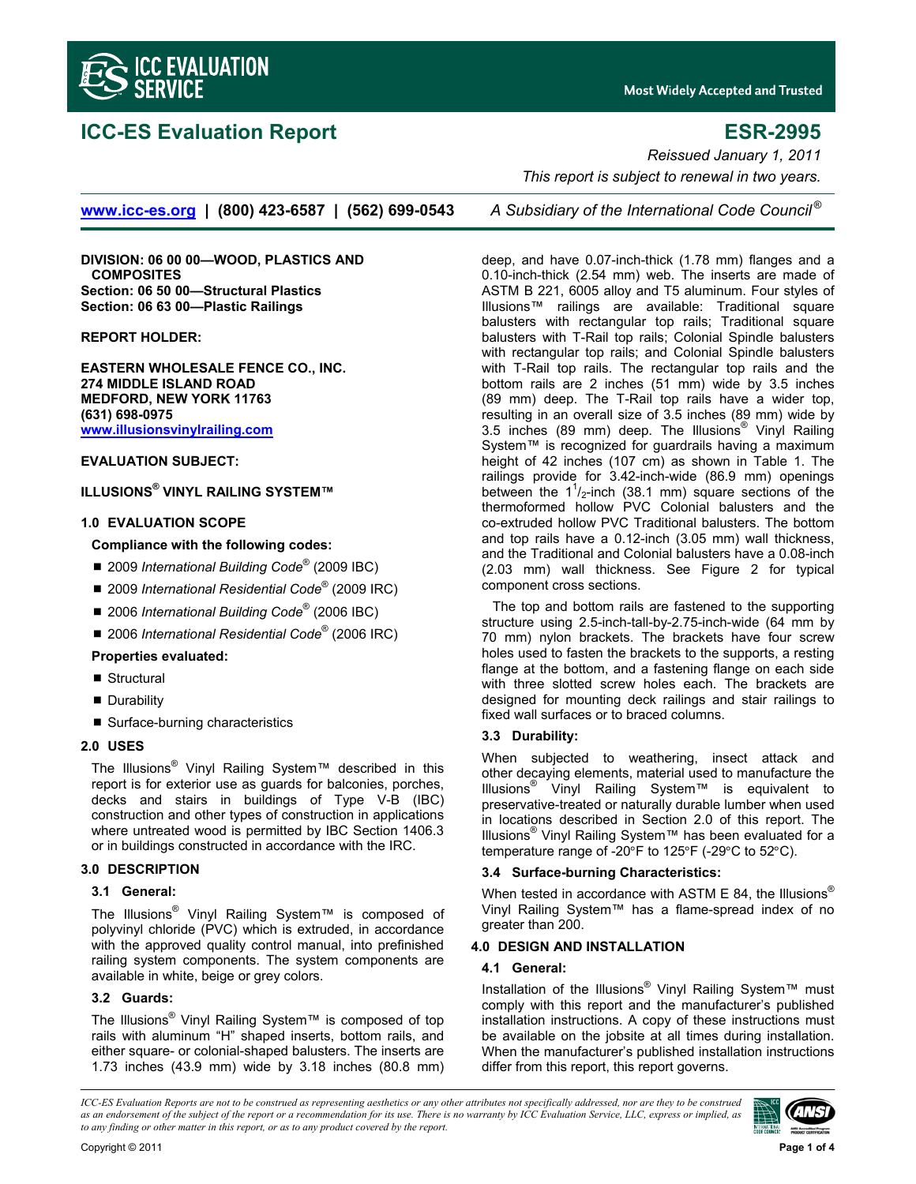

# **ICC-ES Evaluation Report ESR-2995**

**Most Widely Accepted and Trusted** 

**www.icc-es.org | (800) 423-6587 | (562) 699-0543** *A Subsidiary of the International Code Council ®*

**DIVISION: 06 00 00—WOOD, PLASTICS AND COMPOSITES Section: 06 50 00—Structural Plastics Section: 06 63 00—Plastic Railings** 

**REPORT HOLDER:** 

**EASTERN WHOLESALE FENCE CO., INC. 274 MIDDLE ISLAND ROAD MEDFORD, NEW YORK 11763 (631) 698-0975 www.illusionsvinylrailing.com**

# **EVALUATION SUBJECT:**

# **ILLUSIONS® VINYL RAILING SYSTEM™**

#### **1.0 EVALUATION SCOPE**

#### **Compliance with the following codes:**

- 2009 *International Building Code<sup>®</sup>* (2009 IBC)
- 2009 *International Residential Code*<sup>®</sup> (2009 IRC)
- 2006 *International Building Code<sup>®</sup>* (2006 IBC)
- 2006 *International Residential Code*<sup>®</sup> (2006 IRC)

## **Properties evaluated:**

- Structural
- **Durability**
- Surface-burning characteristics

## **2.0 USES**

The Illusions® Vinyl Railing System™ described in this report is for exterior use as guards for balconies, porches, decks and stairs in buildings of Type V-B (IBC) construction and other types of construction in applications where untreated wood is permitted by IBC Section 1406.3 or in buildings constructed in accordance with the IRC.

# **3.0 DESCRIPTION**

#### **3.1 General:**

The Illusions<sup>®</sup> Vinyl Railing System™ is composed of polyvinyl chloride (PVC) which is extruded, in accordance with the approved quality control manual, into prefinished railing system components. The system components are available in white, beige or grey colors.

#### **3.2 Guards:**

The Illusions® Vinyl Railing System™ is composed of top rails with aluminum "H" shaped inserts, bottom rails, and either square- or colonial-shaped balusters. The inserts are 1.73 inches (43.9 mm) wide by 3.18 inches (80.8 mm)

*Reissued January 1, 2011 This report is subject to renewal in two years.* 

deep, and have 0.07-inch-thick (1.78 mm) flanges and a 0.10-inch-thick (2.54 mm) web. The inserts are made of ASTM B 221, 6005 alloy and T5 aluminum. Four styles of Illusions™ railings are available: Traditional square balusters with rectangular top rails; Traditional square balusters with T-Rail top rails; Colonial Spindle balusters with rectangular top rails; and Colonial Spindle balusters with T-Rail top rails. The rectangular top rails and the bottom rails are 2 inches (51 mm) wide by 3.5 inches (89 mm) deep. The T-Rail top rails have a wider top, resulting in an overall size of 3.5 inches (89 mm) wide by 3.5 inches (89 mm) deep. The Illusions® Vinyl Railing System™ is recognized for guardrails having a maximum height of 42 inches (107 cm) as shown in Table 1. The railings provide for 3.42-inch-wide (86.9 mm) openings between the  $1<sup>1</sup>/2$ -inch (38.1 mm) square sections of the thermoformed hollow PVC Colonial balusters and the co-extruded hollow PVC Traditional balusters. The bottom and top rails have a 0.12-inch (3.05 mm) wall thickness, and the Traditional and Colonial balusters have a 0.08-inch (2.03 mm) wall thickness. See Figure 2 for typical component cross sections.

The top and bottom rails are fastened to the supporting structure using 2.5-inch-tall-by-2.75-inch-wide (64 mm by 70 mm) nylon brackets. The brackets have four screw holes used to fasten the brackets to the supports, a resting flange at the bottom, and a fastening flange on each side with three slotted screw holes each. The brackets are designed for mounting deck railings and stair railings to fixed wall surfaces or to braced columns.

# **3.3 Durability:**

When subjected to weathering, insect attack and other decaying elements, material used to manufacture the Illusions® Vinyl Railing System™ is equivalent to preservative-treated or naturally durable lumber when used in locations described in Section 2.0 of this report. The Illusions® Vinyl Railing System™ has been evaluated for a temperature range of -20 $\degree$ F to 125 $\degree$ F (-29 $\degree$ C to 52 $\degree$ C).

## **3.4 Surface-burning Characteristics:**

When tested in accordance with ASTM E 84, the Illusions<sup>®</sup> Vinyl Railing System™ has a flame-spread index of no greater than 200.

#### **4.0 DESIGN AND INSTALLATION**

#### **4.1 General:**

Installation of the Illusions<sup>®</sup> Vinyl Railing System™ must comply with this report and the manufacturer's published installation instructions. A copy of these instructions must be available on the jobsite at all times during installation. When the manufacturer's published installation instructions differ from this report, this report governs.

*ICC-ES Evaluation Reports are not to be construed as representing aesthetics or any other attributes not specifically addressed, nor are they to be construed as an endorsement of the subject of the report or a recommendation for its use. There is no warranty by ICC Evaluation Service, LLC, express or implied, as to any finding or other matter in this report, or as to any product covered by the report.*

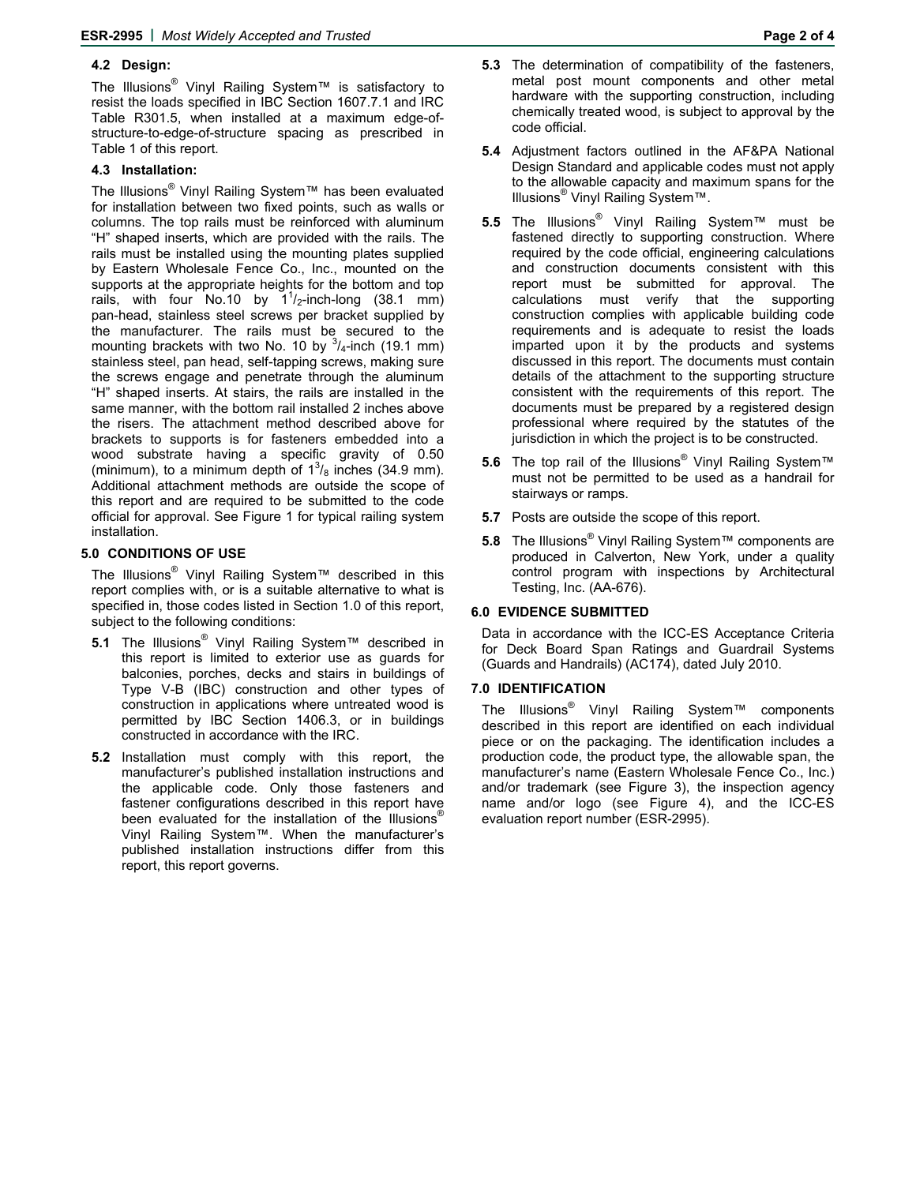# **4.2 Design:**

The Illusions® Vinyl Railing System™ is satisfactory to resist the loads specified in IBC Section 1607.7.1 and IRC Table R301.5, when installed at a maximum edge-ofstructure-to-edge-of-structure spacing as prescribed in Table 1 of this report.

# **4.3 Installation:**

The Illusions® Vinyl Railing System™ has been evaluated for installation between two fixed points, such as walls or columns. The top rails must be reinforced with aluminum "H" shaped inserts, which are provided with the rails. The rails must be installed using the mounting plates supplied by Eastern Wholesale Fence Co., Inc., mounted on the supports at the appropriate heights for the bottom and top rails, with four No.10 by  $1^{1}/_{2}$ -inch-long (38.1 mm) pan-head, stainless steel screws per bracket supplied by the manufacturer. The rails must be secured to the mounting brackets with two No. 10 by  $\frac{3}{4}$ -inch (19.1 mm) stainless steel, pan head, self-tapping screws, making sure the screws engage and penetrate through the aluminum "H" shaped inserts. At stairs, the rails are installed in the same manner, with the bottom rail installed 2 inches above the risers. The attachment method described above for brackets to supports is for fasteners embedded into a wood substrate having a specific gravity of 0.50 (minimum), to a minimum depth of  $1^{3}/_8$  inches (34.9 mm). Additional attachment methods are outside the scope of this report and are required to be submitted to the code official for approval. See Figure 1 for typical railing system installation.

## **5.0 CONDITIONS OF USE**

The Illusions® Vinyl Railing System™ described in this report complies with, or is a suitable alternative to what is specified in, those codes listed in Section 1.0 of this report, subject to the following conditions:

- **5.1** The Illusions® Vinyl Railing System™ described in this report is limited to exterior use as guards for balconies, porches, decks and stairs in buildings of Type V-B (IBC) construction and other types of construction in applications where untreated wood is permitted by IBC Section 1406.3, or in buildings constructed in accordance with the IRC.
- **5.2** Installation must comply with this report, the manufacturer's published installation instructions and the applicable code. Only those fasteners and fastener configurations described in this report have been evaluated for the installation of the Illusions® Vinyl Railing System™. When the manufacturer's published installation instructions differ from this report, this report governs.
- **5.3** The determination of compatibility of the fasteners, metal post mount components and other metal hardware with the supporting construction, including chemically treated wood, is subject to approval by the code official.
- **5.4** Adjustment factors outlined in the AF&PA National Design Standard and applicable codes must not apply to the allowable capacity and maximum spans for the Illusions® Vinyl Railing System™.
- **5.5** The Illusions® Vinyl Railing System™ must be fastened directly to supporting construction. Where required by the code official, engineering calculations and construction documents consistent with this report must be submitted for approval. The calculations must verify that the supporting construction complies with applicable building code requirements and is adequate to resist the loads imparted upon it by the products and systems discussed in this report. The documents must contain details of the attachment to the supporting structure consistent with the requirements of this report. The documents must be prepared by a registered design professional where required by the statutes of the jurisdiction in which the project is to be constructed.
- **5.6** The top rail of the Illusions® Vinyl Railing System™ must not be permitted to be used as a handrail for stairways or ramps.
- **5.7** Posts are outside the scope of this report.
- **5.8** The Illusions<sup>®</sup> Vinyl Railing System™ components are produced in Calverton, New York, under a quality control program with inspections by Architectural Testing, Inc. (AA-676).

# **6.0 EVIDENCE SUBMITTED**

Data in accordance with the ICC-ES Acceptance Criteria for Deck Board Span Ratings and Guardrail Systems (Guards and Handrails) (AC174), dated July 2010.

## **7.0 IDENTIFICATION**

The Illusions® Vinyl Railing System™ components described in this report are identified on each individual piece or on the packaging. The identification includes a production code, the product type, the allowable span, the manufacturer's name (Eastern Wholesale Fence Co., Inc.) and/or trademark (see Figure 3), the inspection agency name and/or logo (see Figure 4), and the ICC-ES evaluation report number (ESR-2995).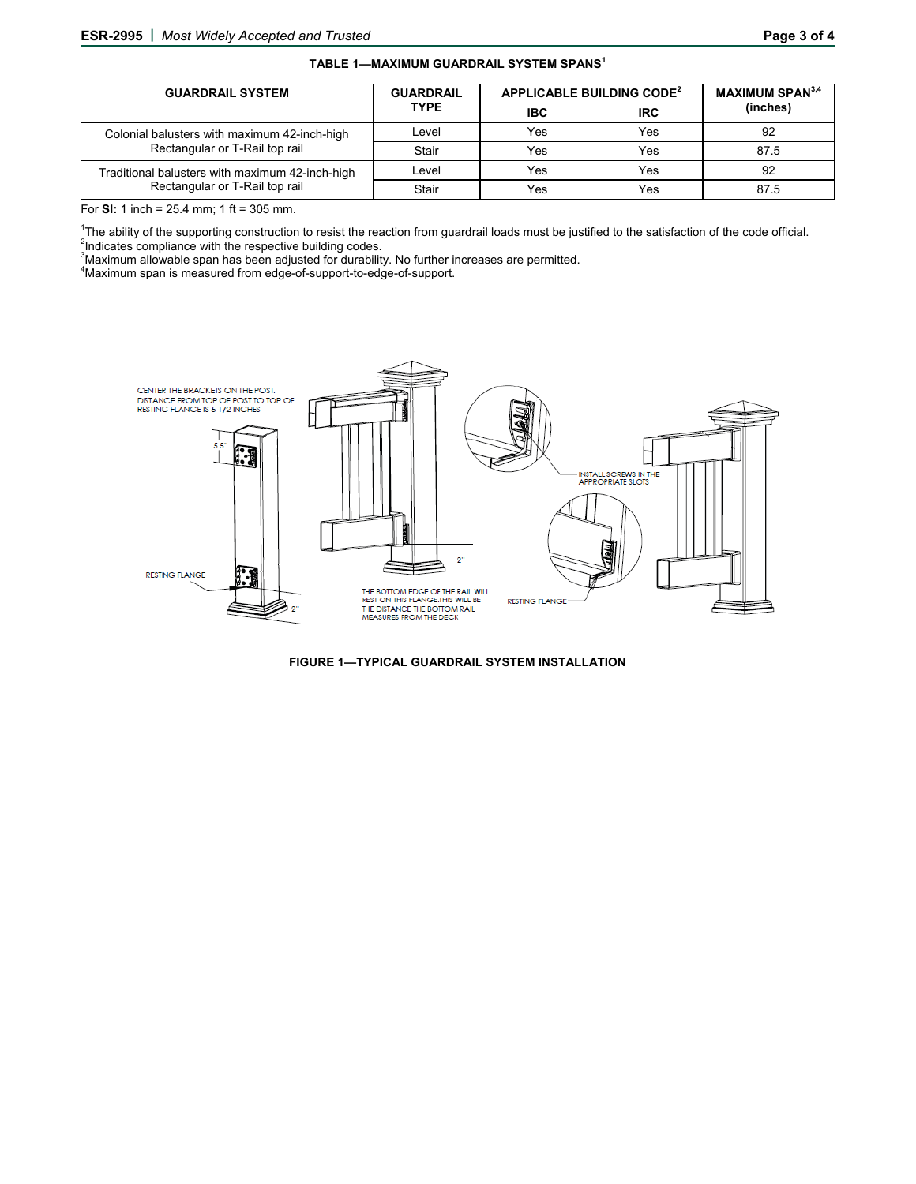#### **TABLE 1—MAXIMUM GUARDRAIL SYSTEM SPANS<sup>1</sup>**

| <b>GUARDRAIL SYSTEM</b>                                                           | <b>GUARDRAIL</b><br><b>TYPE</b> | APPLICABLE BUILDING CODE <sup>2</sup> |            | <b>MAXIMUM SPAN3,4</b> |
|-----------------------------------------------------------------------------------|---------------------------------|---------------------------------------|------------|------------------------|
|                                                                                   |                                 | <b>IBC</b>                            | <b>IRC</b> | (inches)               |
| Colonial balusters with maximum 42-inch-high<br>Rectangular or T-Rail top rail    | Level                           | Yes                                   | Yes        | 92                     |
|                                                                                   | Stair                           | Yes                                   | Yes        | 87.5                   |
| Traditional balusters with maximum 42-inch-high<br>Rectangular or T-Rail top rail | Level                           | Yes                                   | Yes        | 92                     |
|                                                                                   | Stair                           | Yes                                   | Yes        | 87.5                   |

For **SI:** 1 inch = 25.4 mm; 1 ft = 305 mm.

<sup>1</sup>The ability of the supporting construction to resist the reaction from guardrail loads must be justified to the satisfaction of the code official. <sup>2</sup>Indicates compliance with the respective building codes.

<sup>3</sup>Maximum allowable span has been adjusted for durability. No further increases are permitted.<br><sup>4M</sup>aximum apop is massured from adge of support to adge of support.

Maximum span is measured from edge-of-support-to-edge-of-support.